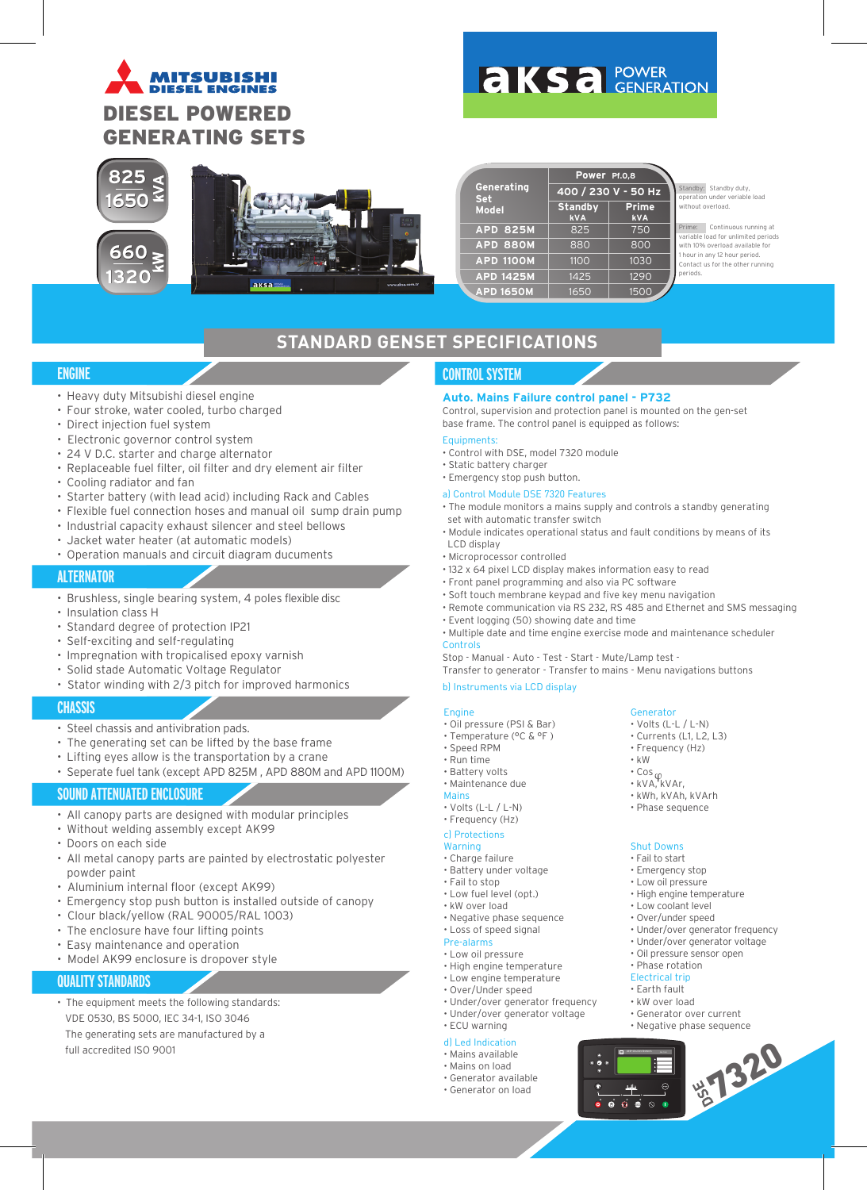# **MITSURISHI DIESEL ENGINES** DIESEL POWERED GENERATING SETS

# **AKSA POWER**



|                                 | Power Pf.0,8<br>400 / 230 V - 50 Hz |                            |  |  |  |
|---------------------------------|-------------------------------------|----------------------------|--|--|--|
| <b>Generating</b><br><b>Set</b> |                                     |                            |  |  |  |
| <b>Model</b>                    | <b>Standby</b><br><b>kVA</b>        | <b>Prime</b><br><b>kVA</b> |  |  |  |
| <b>APD 825M</b>                 | 825                                 | 750                        |  |  |  |
| <b>APD 880M</b>                 | 880                                 | 800                        |  |  |  |
| <b>APD 1100M</b>                | 1100                                | 1030                       |  |  |  |
| <b>APD 1425M</b>                | 1425                                | 1290                       |  |  |  |
| <b>APD 1650M</b>                | 1650                                | 1500                       |  |  |  |

Standby: Standby duty operation under veriable load<br>Dunder veriable load ut overload.

Continuous running at .<br>oad for unlimited periods ith 10% overload available for hour in any 12 hour period. Contact us for the other running periods.

# **STANDARD GENSET SPECIFICATIONS**

# **ENGINE**

- Heavy duty Mitsubishi diesel engine
- Four stroke, water cooled, turbo charged
- Direct injection fuel system
- Electronic governor control system
- 24 V D.C. starter and charge alternator
- Replaceable fuel filter, oil filter and dry element air filter
- Cooling radiator and fan
- Starter battery (with lead acid) including Rack and Cables
- Flexible fuel connection hoses and manual oil sump drain pump
- Industrial capacity exhaust silencer and steel bellows
- Jacket water heater (at automatic models)
- Operation manuals and circuit diagram ducuments

# **ALTERNATOR**

- Brushless, single bearing system, 4 poles flexible disc
- Insulation class H
- Standard degree of protection IP21
- Self-exciting and self-regulating
- Impregnation with tropicalised epoxy varnish
- Solid stade Automatic Voltage Regulator
- Stator winding with 2/3 pitch for improved harmonics

# **CHASSIS**

- Steel chassis and antivibration pads.
- The generating set can be lifted by the base frame
- Lifting eyes allow is the transportation by a crane
- Seperate fuel tank (except APD 825M , APD 880M and APD 1100M)

# **SOUND ATTENUATED ENCLOSURE**

- All canopy parts are designed with modular principles
- Without welding assembly except AK99
- Doors on each side
- All metal canopy parts are painted by electrostatic polyester powder paint
- Aluminium internal floor (except AK99)
- Emergency stop push button is installed outside of canopy
- Clour black/yellow (RAL 90005/RAL 1003)
- The enclosure have four lifting points
- Easy maintenance and operation
- Model AK99 enclosure is dropover style

# **QUALITY STANDARDS**

• The equipment meets the following standards: VDE 0530, BS 5000, IEC 34-1, ISO 3046 The generating sets are manufactured by a full accredited ISO 9001

# **CONTROL SYSTEM**

#### **Auto. Mains Failure control panel - P732**

Control, supervision and protection panel is mounted on the gen-set base frame. The control panel is equipped as follows:

#### Equipments:

- Control with DSE, model 7320 module
- Static battery charger
- Emergency stop push button.

# a) Control Module DSE 7320 Features

- The module monitors a mains supply and controls a standby generating set with automatic transfer switch
- Module indicates operational status and fault conditions by means of its LCD display
- Microprocessor controlled
- 132 x 64 pixel LCD display makes information easy to read
- Front panel programming and also via PC software
- Soft touch membrane keypad and five key menu navigation
- Remote communication via RS 232, RS 485 and Ethernet and SMS messaging • Event logging (50) showing date and time
- Multiple date and time engine exercise mode and maintenance scheduler
- Controls
- Stop Manual Auto Test Start Mute/Lamp test -
- Transfer to generator Transfer to mains Menu navigations buttons

#### b) Instruments via LCD display

#### Engine

- Oil pressure (PSI & Bar)
- Temperature (°C & °F )
- Speed RPM
- Run time
- Battery volts
- Maintenance due Mains
- Volts (L-L / L-N)
- Frequency (Hz)

# c) Protections

# Warning

- Charge failure
- Battery under voltage
- Fail to stop • Low fuel level (opt.)
- kW over load
- Negative phase sequence
- Loss of speed signal

#### Pre-alarms • Low oil pressure

- High engine temperature
- Low engine temperature
- Over/Under speed
- Under/over generator frequency
- Under/over generator voltage
- ECU warning

#### d) Led Indication • Mains available

- Mains on load
- Generator available
- Generator on load

#### Generator • Volts (L-L / L-N)

- Currents (L1, L2, L3)
- Frequency (Hz)

• Phase sequence

• kW

 $\bullet$   $\bullet$   $\bullet$   $\circ$ 

**BET320** 

• Under/over generator frequency • Under/over generator voltage • Oil pressure sensor open • Phase rotation Electrical trip • Earth fault • kW over load

• Generator over current • Negative phase sequence

- Cos
- $\cdot$  kVA, kVAr, • kWh, kVAh, kVArh

Shut Downs • Fail to start • Emergency stop • Low oil pressure • High engine temperature • Low coolant level • Over/under speed